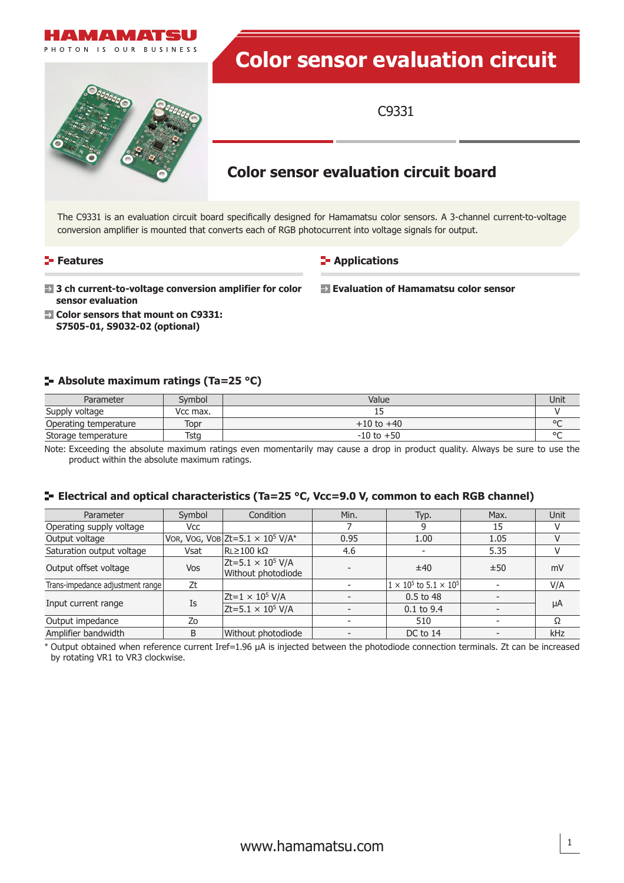

### **Features**

## **Applications**

 **Evaluation of Hamamatsu color sensor**

- **<b>** $\blacksquare$  3 ch current-to-voltage conversion amplifier for color **sensor evaluation**
- **Color sensors that mount on C9331: S7505-01, S9032-02 (optional)**

## **Absolute maximum ratings (Ta=25 °C)**

| Parameter             | Symbol   | Value          |         |
|-----------------------|----------|----------------|---------|
| Supply voltage        | Vcc max. |                |         |
| Operating temperature | Topr     | $+10$ to $+40$ | $\circ$ |
| Storage temperature   | Tsta     | $-10$ to $+50$ | $\circ$ |

Note: Exceeding the absolute maximum ratings even momentarily may cause a drop in product quality. Always be sure to use the product within the absolute maximum ratings.

### **Electrical and optical characteristics (Ta=25 °C, Vcc=9.0 V, common to each RGB channel)**

| Parameter                        | Symbol | Condition                                          | Min. | Typ.                                 | Max. | Unit |
|----------------------------------|--------|----------------------------------------------------|------|--------------------------------------|------|------|
| Operating supply voltage         | Vcc    |                                                    |      |                                      | 15   |      |
| Output voltage                   |        | VOR, VOG, VOB Zt=5.1 $\times$ 10 <sup>5</sup> V/A* | 0.95 | 1.00                                 | 1.05 |      |
| Saturation output voltage        | Vsat   | $RL \ge 100 k\Omega$                               | 4.6  |                                      | 5.35 |      |
| Output offset voltage            | Vos    | $Zt = 5.1 \times 10^5$ V/A<br>Without photodiode   |      | ±40                                  | ±50  | mV   |
| Trans-impedance adjustment range | Zt     |                                                    |      | $1 \times 10^5$ to $5.1 \times 10^5$ |      | V/A  |
| Input current range              | Is     | $Zt=1 \times 10^5$ V/A                             |      | 0.5 to 48                            |      | μA   |
|                                  |        | $Zt = 5.1 \times 10^5$ V/A                         |      | $0.1$ to 9.4                         |      |      |
| Output impedance                 | Zo     |                                                    |      | 510                                  |      | Ω    |
| Amplifier bandwidth              | B      | Without photodiode                                 |      | DC to 14                             |      | kHz  |

\* Output obtained when reference current Iref=1.96 μA is injected between the photodiode connection terminals. Zt can be increased by rotating VR1 to VR3 clockwise.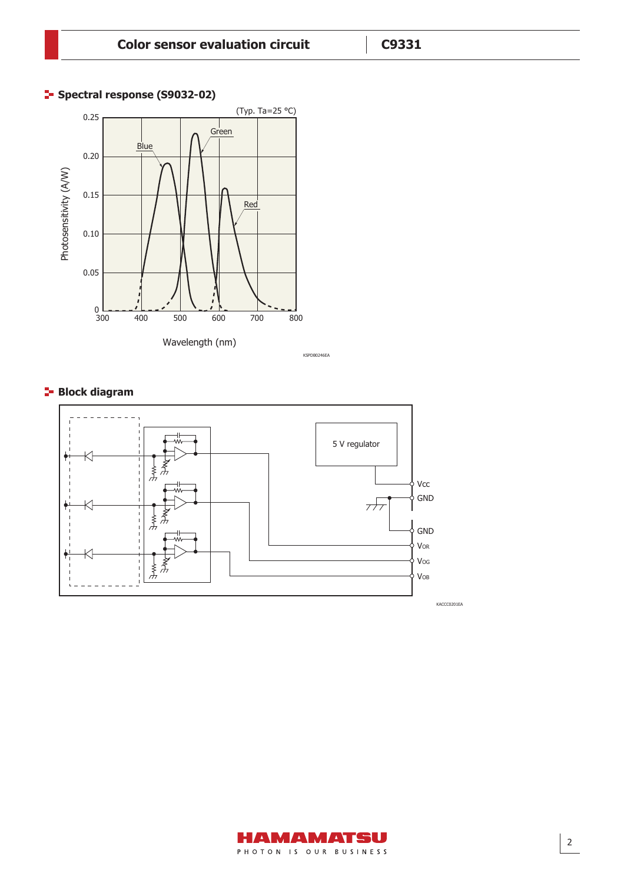# **Spectral response (S9032-02)**



# **Block diagram**



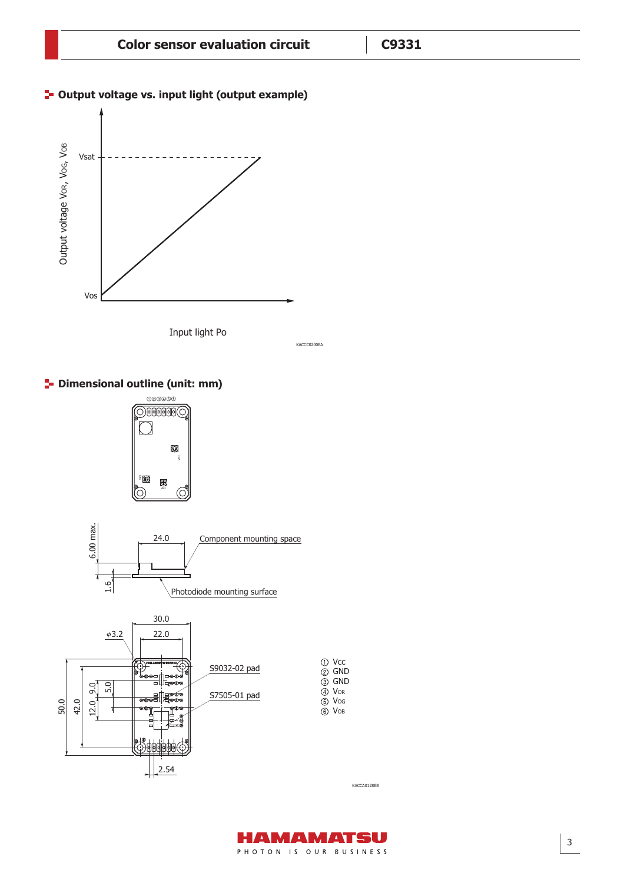KACCC0200EA

## **<sup>1</sup>- Output voltage vs. input light (output example)**



Input light Po

**P** Dimensional outline (unit: mm)



KACCA0128EB